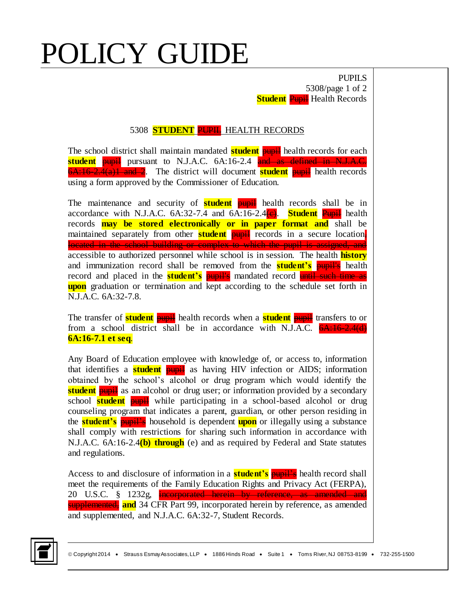## POLICY GUIDE

PUPILS 5308/page 1 of 2 **Student Pupil** Health Records

## 5308 **STUDENT** PUPIL HEALTH RECORDS

The school district shall maintain mandated **student** pupil health records for each **student pupil** pursuant to N.J.A.C. 6A:16-2.4 and as defined in N.J.A.C. 6A:16-2.4(a)1 and 2. The district will document **student** pupil health records using a form approved by the Commissioner of Education.

The maintenance and security of **student pupil** health records shall be in accordance with N.J.A.C.  $6A:32-7.4$  and  $6A:16-2.4$   $\left(\frac{c}{c}\right)$ . **Student** Pupil health records **may be stored electronically or in paper format and** shall be maintained separately from other **student pupil** records in a secure location. located in the school building or complex to which the pupil is assigned, and accessible to authorized personnel while school is in session. The health **history** and immunization record shall be removed from the **student's** pupil's health record and placed in the **student's** pupil's mandated record until such time as **upon** graduation or termination and kept according to the schedule set forth in N.J.A.C. 6A:32-7.8.

The transfer of **student** pupil health records when a **student** pupil transfers to or from a school district shall be in accordance with N.J.A.C.  $6A:16-2.4(d)$ **6A:16-7.1 et seq**.

Any Board of Education employee with knowledge of, or access to, information that identifies a **student** pupil as having HIV infection or AIDS; information obtained by the school's alcohol or drug program which would identify the **student pupil** as an alcohol or drug user; or information provided by a secondary school **student** pupil while participating in a school-based alcohol or drug counseling program that indicates a parent, guardian, or other person residing in the **student's** pupil's household is dependent **upon** or illegally using a substance shall comply with restrictions for sharing such information in accordance with N.J.A.C. 6A:16-2.4**(b) through** (e) and as required by Federal and State statutes and regulations.

Access to and disclosure of information in a **student's** pupil's health record shall meet the requirements of the Family Education Rights and Privacy Act (FERPA), 20 U.S.C. § 1232g, incorporated herein by reference, as amended and **supplemented, and** 34 CFR Part 99, incorporated herein by reference, as amended and supplemented, and N.J.A.C. 6A:32-7, Student Records.